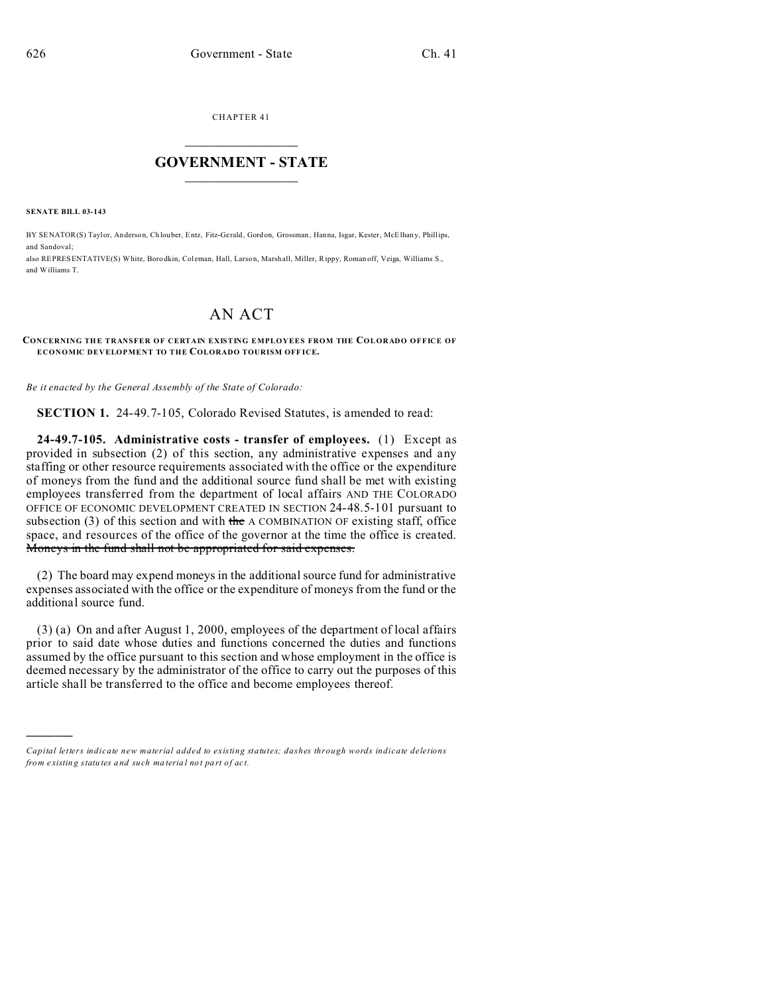CHAPTER 41  $\overline{\phantom{a}}$  , where  $\overline{\phantom{a}}$ 

### **GOVERNMENT - STATE**  $\_$   $\_$   $\_$   $\_$   $\_$   $\_$   $\_$   $\_$   $\_$

**SENATE BILL 03-143**

)))))

BY SENATOR(S) Taylor, An derson, Ch louber, Entz, Fitz-Gerald, Gord on, Grossman , Hanna, Isgar, Kester, McElhan y, Phillips, and Sandoval;

also REPRESENTATIVE(S) White, Boro dkin, Col eman, Hall, Larson, Marshall, Miller, Rippy, Roman off, Veiga, Williams S., and Williams T.

# AN ACT

#### **CONCERNING THE TRANSFER OF CERTAIN EXISTING EMPLOYEES FROM THE COLORADO OFFICE OF ECONOMIC DEVELOPMENT TO THE COLORADO TOURISM OFF ICE.**

*Be it enacted by the General Assembly of the State of Colorado:*

**SECTION 1.** 24-49.7-105, Colorado Revised Statutes, is amended to read:

**24-49.7-105. Administrative costs - transfer of employees.** (1) Except as provided in subsection (2) of this section, any administrative expenses and any staffing or other resource requirements associated with the office or the expenditure of moneys from the fund and the additional source fund shall be met with existing employees transferred from the department of local affairs AND THE COLORADO OFFICE OF ECONOMIC DEVELOPMENT CREATED IN SECTION 24-48.5-101 pursuant to subsection  $(3)$  of this section and with the A COMBINATION OF existing staff, office space, and resources of the office of the governor at the time the office is created. Moneys in the fund shall not be appropriated for said expenses.

(2) The board may expend moneys in the additional source fund for administrative expenses associated with the office or the expenditure of moneys from the fund or the additional source fund.

(3) (a) On and after August 1, 2000, employees of the department of local affairs prior to said date whose duties and functions concerned the duties and functions assumed by the office pursuant to this section and whose employment in the office is deemed necessary by the administrator of the office to carry out the purposes of this article shall be transferred to the office and become employees thereof.

*Capital letters indicate new material added to existing statutes; dashes through words indicate deletions from e xistin g statu tes a nd such ma teria l no t pa rt of ac t.*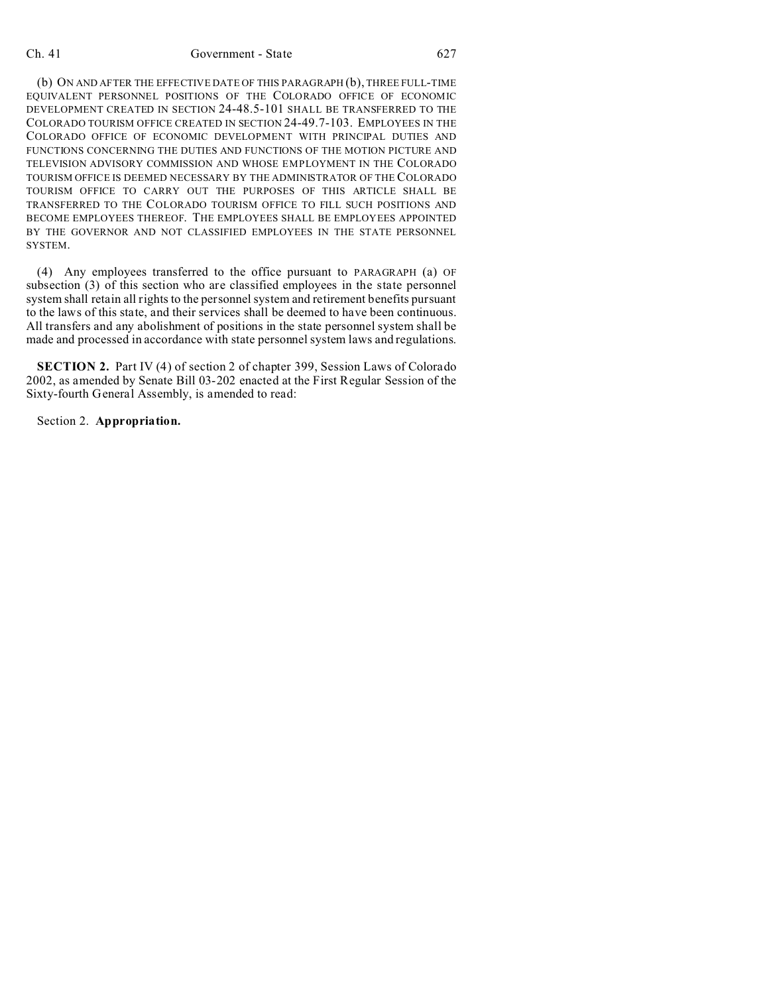#### Ch. 41 Government - State 627

(b) ON AND AFTER THE EFFECTIVE DATE OF THIS PARAGRAPH (b), THREE FULL-TIME EQUIVALENT PERSONNEL POSITIONS OF THE COLORADO OFFICE OF ECONOMIC DEVELOPMENT CREATED IN SECTION 24-48.5-101 SHALL BE TRANSFERRED TO THE COLORADO TOURISM OFFICE CREATED IN SECTION 24-49.7-103. EMPLOYEES IN THE COLORADO OFFICE OF ECONOMIC DEVELOPMENT WITH PRINCIPAL DUTIES AND FUNCTIONS CONCERNING THE DUTIES AND FUNCTIONS OF THE MOTION PICTURE AND TELEVISION ADVISORY COMMISSION AND WHOSE EMPLOYMENT IN THE COLORADO TOURISM OFFICE IS DEEMED NECESSARY BY THE ADMINISTRATOR OF THE COLORADO TOURISM OFFICE TO CARRY OUT THE PURPOSES OF THIS ARTICLE SHALL BE TRANSFERRED TO THE COLORADO TOURISM OFFICE TO FILL SUCH POSITIONS AND BECOME EMPLOYEES THEREOF. THE EMPLOYEES SHALL BE EMPLOYEES APPOINTED BY THE GOVERNOR AND NOT CLASSIFIED EMPLOYEES IN THE STATE PERSONNEL SYSTEM.

(4) Any employees transferred to the office pursuant to PARAGRAPH (a) OF subsection (3) of this section who are classified employees in the state personnel system shall retain all rights to the personnel system and retirement benefits pursuant to the laws of this state, and their services shall be deemed to have been continuous. All transfers and any abolishment of positions in the state personnel system shall be made and processed in accordance with state personnel system laws and regulations.

**SECTION 2.** Part IV (4) of section 2 of chapter 399, Session Laws of Colorado 2002, as amended by Senate Bill 03-202 enacted at the First Regular Session of the Sixty-fourth General Assembly, is amended to read:

Section 2. **Appropriation.**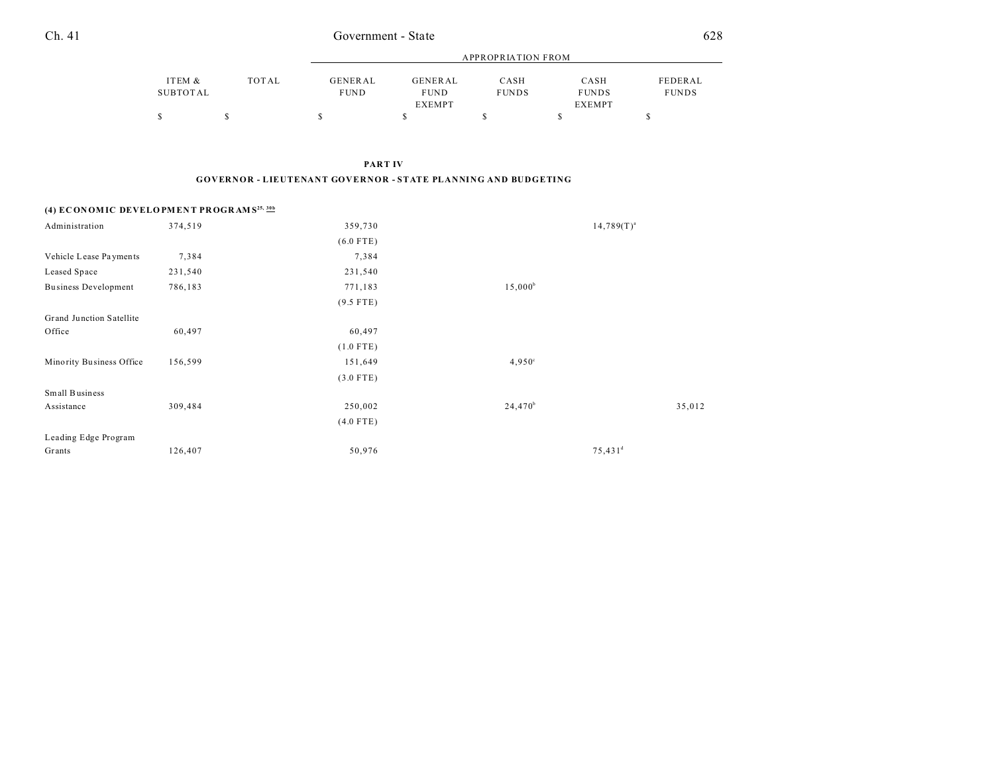| Ch. 41 | Government - State | 628 |  |
|--------|--------------------|-----|--|
|        |                    |     |  |

|          |       | APPROPRIATION FROM |                              |              |                               |              |  |
|----------|-------|--------------------|------------------------------|--------------|-------------------------------|--------------|--|
| ITEM &   | TOTAL | GENERAL            | GENERAL                      | CASH         | CASH                          | FEDERAL      |  |
| SUBTOTAL |       | <b>FUND</b>        | <b>FUND</b><br><b>EXEMPT</b> | <b>FUNDS</b> | <b>FUNDS</b><br><b>EXEMPT</b> | <b>FUNDS</b> |  |
|          |       |                    |                              |              |                               |              |  |

**PART IV**

**GOVERNOR - LIEUTENANT GOVERNOR - STATE PLANNING AND BUDGETING**

### **(4) EC ON OM IC DEVELO PM EN T PR OGR AM S25, 30b**

| Administration              | 374,519 | 359,730     |                 | $14,789(T)^{a}$       |
|-----------------------------|---------|-------------|-----------------|-----------------------|
|                             |         | $(6.0$ FTE) |                 |                       |
| Vehicle Lease Payments      | 7,384   | 7,384       |                 |                       |
| Leased Space                | 231,540 | 231,540     |                 |                       |
| <b>Business Development</b> | 786,183 | 771,183     | $15,000^b$      |                       |
|                             |         | $(9.5$ FTE) |                 |                       |
| Grand Junction Satellite    |         |             |                 |                       |
| Office                      | 60,497  | 60,497      |                 |                       |
|                             |         | $(1.0$ FTE) |                 |                       |
| Minority Business Office    | 156,599 | 151,649     | $4,950^{\circ}$ |                       |
|                             |         | $(3.0$ FTE) |                 |                       |
| Small Business              |         |             |                 |                       |
| Assistance                  | 309,484 | 250,002     | $24,470^b$      | 35,012                |
|                             |         | $(4.0$ FTE) |                 |                       |
| Leading Edge Program        |         |             |                 |                       |
| Grants                      | 126,407 | 50,976      |                 | $75,431$ <sup>d</sup> |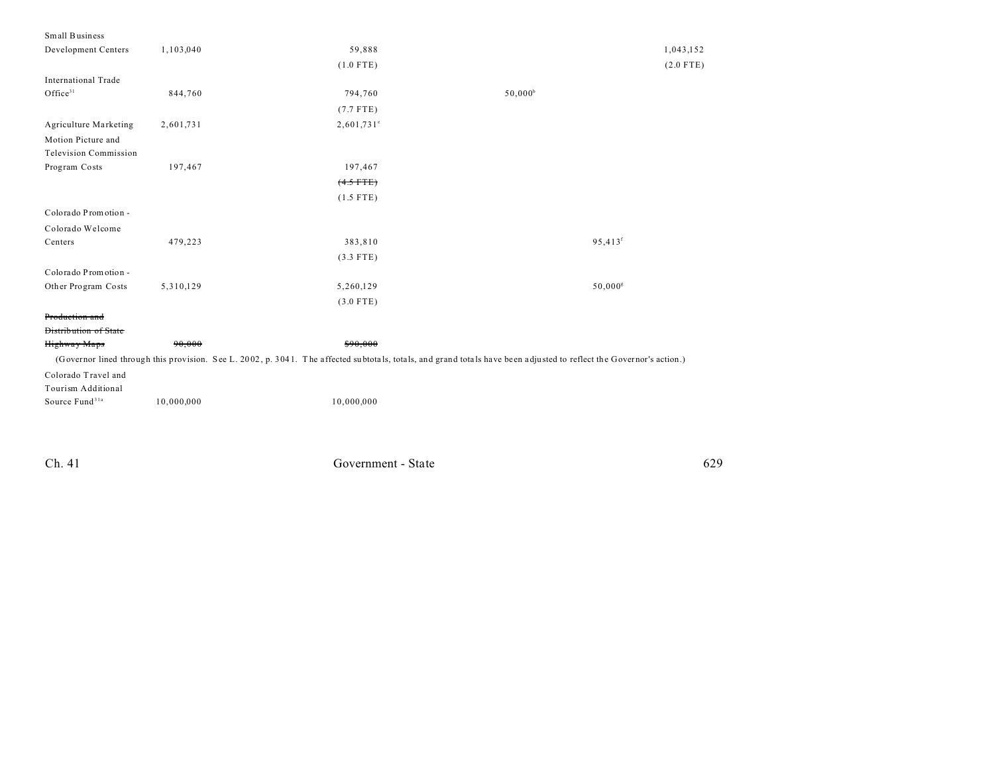| Small Business               |            |               |                                                                                                                                                                      |             |
|------------------------------|------------|---------------|----------------------------------------------------------------------------------------------------------------------------------------------------------------------|-------------|
| Development Centers          | 1,103,040  | 59,888        |                                                                                                                                                                      | 1,043,152   |
|                              |            | $(1.0$ FTE)   |                                                                                                                                                                      | $(2.0$ FTE) |
| <b>International Trade</b>   |            |               |                                                                                                                                                                      |             |
| Office <sup>31</sup>         | 844,760    | 794,760       | $50,000^{\circ}$                                                                                                                                                     |             |
|                              |            | $(7.7$ FTE)   |                                                                                                                                                                      |             |
| Agriculture Marketing        | 2,601,731  | $2,601,731$ ° |                                                                                                                                                                      |             |
| Motion Picture and           |            |               |                                                                                                                                                                      |             |
| <b>Television Commission</b> |            |               |                                                                                                                                                                      |             |
| Program Costs                | 197,467    | 197,467       |                                                                                                                                                                      |             |
|                              |            | $(4.5$ FTE)   |                                                                                                                                                                      |             |
|                              |            | $(1.5$ FTE)   |                                                                                                                                                                      |             |
| Colorado Promotion -         |            |               |                                                                                                                                                                      |             |
| Colorado Welcome             |            |               |                                                                                                                                                                      |             |
| Centers                      | 479,223    | 383,810       | 95,413 <sup>f</sup>                                                                                                                                                  |             |
|                              |            | $(3.3$ FTE)   |                                                                                                                                                                      |             |
| Colorado Promotion -         |            |               |                                                                                                                                                                      |             |
| Other Program Costs          | 5,310,129  | 5,260,129     | $50,000$ <sup>g</sup>                                                                                                                                                |             |
|                              |            | $(3.0$ FTE)   |                                                                                                                                                                      |             |
| Production and               |            |               |                                                                                                                                                                      |             |
| <b>Distribution of State</b> |            |               |                                                                                                                                                                      |             |
| Highway Maps                 | 90,000     | \$90,000      |                                                                                                                                                                      |             |
|                              |            |               | (Governor lined through this provision. See L. 2002, p. 3041. The affected subtotals, totals, and grand totals have been adjusted to reflect the Governor's action.) |             |
| Colorado Travel and          |            |               |                                                                                                                                                                      |             |
| Tourism Additional           |            |               |                                                                                                                                                                      |             |
| Source Fund <sup>31a</sup>   | 10,000,000 | 10,000,000    |                                                                                                                                                                      |             |
|                              |            |               |                                                                                                                                                                      |             |
|                              |            |               |                                                                                                                                                                      |             |

Ch. 41 Government - State 629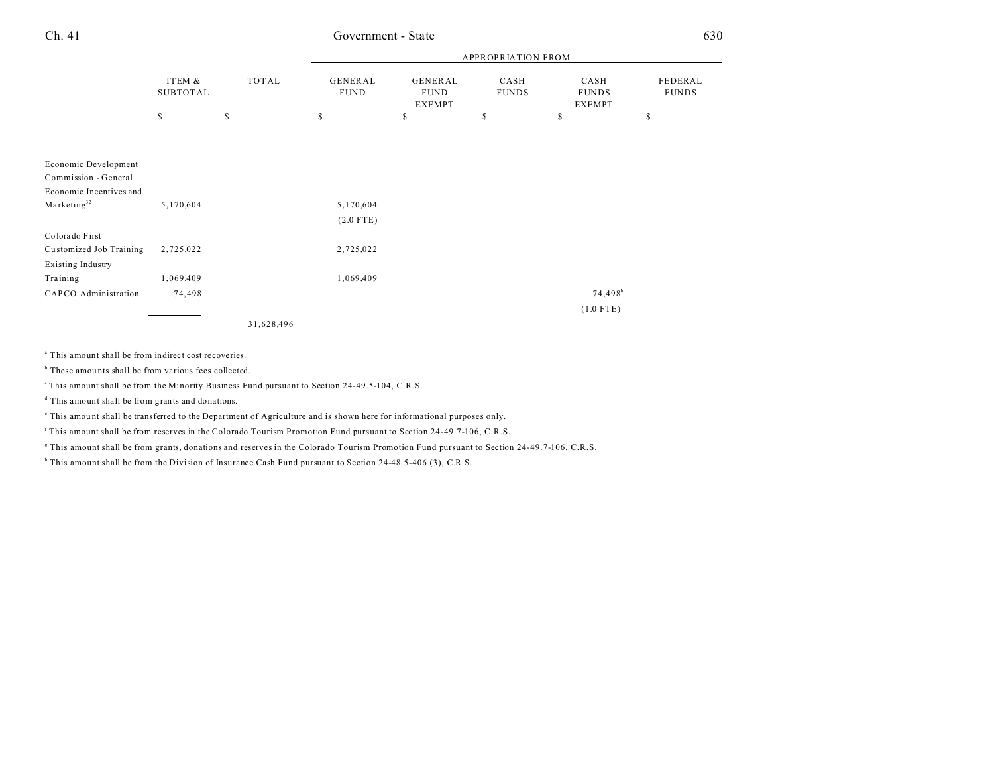## Ch. 41 Government - State 630

|                          | ITEM &<br>SUBTOTAL | TOTAL     | <b>APPROPRIATION FROM</b> |                                                |                      |                                       |                         |  |
|--------------------------|--------------------|-----------|---------------------------|------------------------------------------------|----------------------|---------------------------------------|-------------------------|--|
|                          |                    |           | GENERAL<br><b>FUND</b>    | <b>GENERAL</b><br><b>FUND</b><br><b>EXEMPT</b> | CASH<br><b>FUNDS</b> | CASH<br><b>FUNDS</b><br><b>EXEMPT</b> | FEDERAL<br><b>FUNDS</b> |  |
|                          | S.                 | \$        | $\mathbb{S}$              | S                                              | \$                   | \$                                    | \$                      |  |
|                          |                    |           |                           |                                                |                      |                                       |                         |  |
| Economic Development     |                    |           |                           |                                                |                      |                                       |                         |  |
| Commission - General     |                    |           |                           |                                                |                      |                                       |                         |  |
| Economic Incentives and  |                    |           |                           |                                                |                      |                                       |                         |  |
| Marketing <sup>32</sup>  | 5,170,604          |           | 5,170,604                 |                                                |                      |                                       |                         |  |
|                          |                    |           | $(2.0$ FTE)               |                                                |                      |                                       |                         |  |
| Colorado First           |                    |           |                           |                                                |                      |                                       |                         |  |
| Customized Job Training  | 2,725,022          |           | 2,725,022                 |                                                |                      |                                       |                         |  |
| <b>Existing Industry</b> |                    |           |                           |                                                |                      |                                       |                         |  |
| Training                 | 1,069,409          |           | 1,069,409                 |                                                |                      |                                       |                         |  |
| CAPCO Administration     | 74,498             |           |                           |                                                |                      | $74,498$ <sup>h</sup>                 |                         |  |
|                          |                    |           |                           |                                                |                      | $(1.0$ FTE)                           |                         |  |
|                          |                    | 21,00,100 |                           |                                                |                      |                                       |                         |  |

31,628,496

a This amount shall be from indirect cost recoveries.

<sup>b</sup> These amounts shall be from various fees collected.

<sup>c</sup>This amount shall be from the Minority Business Fund pursuant to Section 24-49.5-104, C.R.S.

d This amount shall be from grants and donations.

This amount shall be transferred to the Department of Agriculture and is shown here for informational purposes only.

f This amount shall be from reserves in the Colorado Tourism Promotion Fund pursuant to Section 24-49.7-106, C.R.S.

g This amount shall be from grants, donations and reserves in the Colorado Tourism Promotion Fund pursuant to Section 24-49.7-106, C.R.S.

<sup>h</sup> This amount shall be from the Division of Insurance Cash Fund pursuant to Section 24-48.5-406 (3), C.R.S.